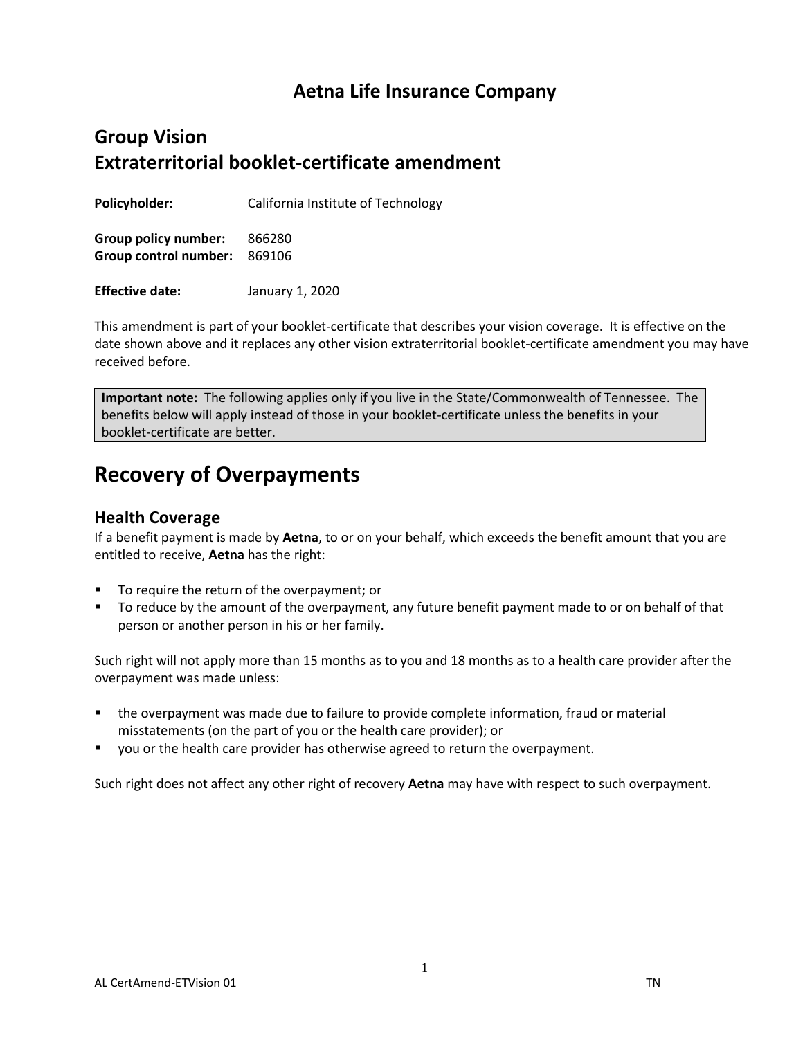## **Aetna Life Insurance Company**

## **Group Vision Extraterritorial booklet-certificate amendment**

**Policyholder:** California Institute of Technology

**Group policy number:** 866280 **Group control number:** 869106

**Effective date:** January 1, 2020

This amendment is part of your booklet-certificate that describes your vision coverage. It is effective on the date shown above and it replaces any other vision extraterritorial booklet-certificate amendment you may have received before.

**Important note:** The following applies only if you live in the State/Commonwealth of Tennessee. The benefits below will apply instead of those in your booklet-certificate unless the benefits in your booklet-certificate are better.

## **Recovery of Overpayments**

## **Health Coverage**

If a benefit payment is made by **Aetna**, to or on your behalf, which exceeds the benefit amount that you are entitled to receive, **Aetna** has the right:

- To require the return of the overpayment; or
- To reduce by the amount of the overpayment, any future benefit payment made to or on behalf of that person or another person in his or her family.

Such right will not apply more than 15 months as to you and 18 months as to a health care provider after the overpayment was made unless:

- the overpayment was made due to failure to provide complete information, fraud or material misstatements (on the part of you or the health care provider); or
- you or the health care provider has otherwise agreed to return the overpayment.

Such right does not affect any other right of recovery **Aetna** may have with respect to such overpayment.